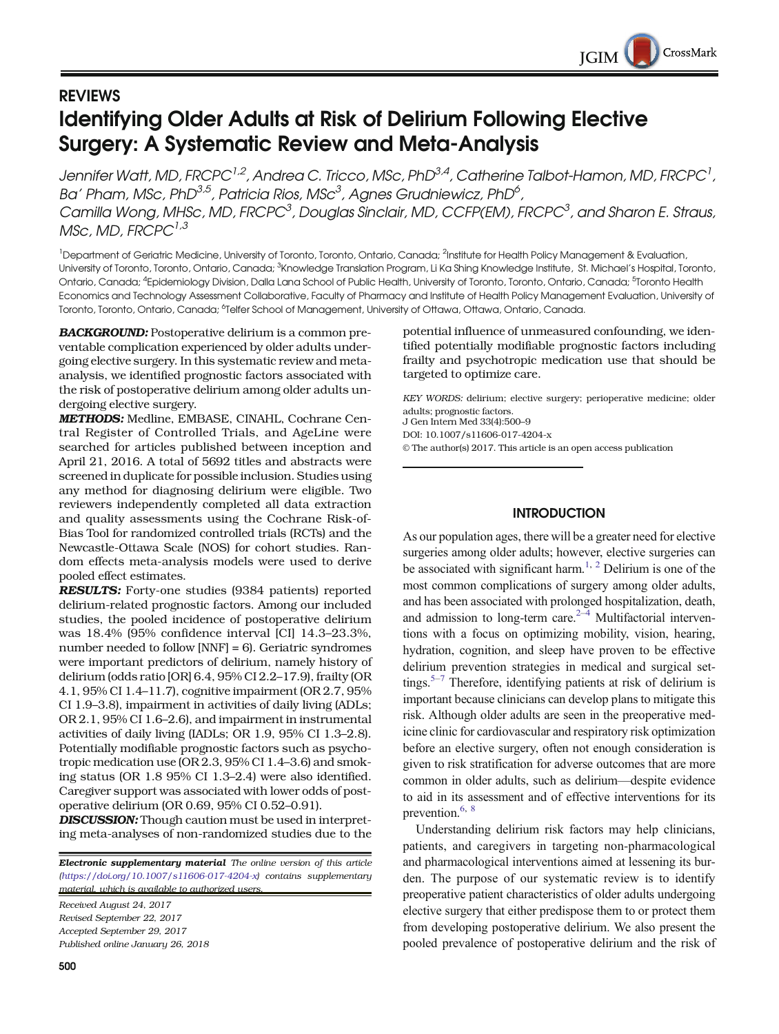# REVIEWS Identifying Older Adults at Risk of Delirium Following Elective Surgery: A Systematic Review and Meta-Analysis

Jennifer Watt, MD, FRCPC $^{l,2}$ , Andrea C. Tricco, MSc, PhD $^{3,4}$ , Catherine Talbot-Hamon, MD, FRCPC $^l$ , Ba' Pham, MSc, PhD<sup>3,5</sup>, Patricia Rios, MSc<sup>3</sup>, Agnes Grudniewicz, PhD<sup>6</sup>, Camilla Wong, MHSc, MD, FRCPC<sup>3</sup>, Douglas Sinclair, MD, CCFP(EM), FRCPC<sup>3</sup>, and Sharon E. Straus,  $MSc, M.D. FRCPC<sup>1,3</sup>$ 

<sup>1</sup>Department of Geriatric Medicine, University of Toronto, Toronto, Ontario, Canada; <sup>2</sup>Institute for Health Policy Management & Evaluation, University of Toronto, Toronto, Ontario, Canada; <sup>3</sup>Knowledge Translation Program, Li Ka Shing Knowledge Institute, St. Michael's Hospital, Toronto, Ontario, Canada; <sup>4</sup>Epidemiology Division, Dalla Lana School of Public Health, University of Toronto, Toronto, Ontario, Canada; <sup>5</sup>Toronto Health Economics and Technology Assessment Collaborative, Faculty of Pharmacy and Institute of Health Policy Management Evaluation, University of Toronto, Toronto, Ontario, Canada; <sup>6</sup>Telfer School of Management, University of Ottawa, Ottawa, Ontario, Canada.

BACKGROUND: Postoperative delirium is a common preventable complication experienced by older adults undergoing elective surgery. In this systematic review and metaanalysis, we identified prognostic factors associated with the risk of postoperative delirium among older adults undergoing elective surgery.

METHODS: Medline, EMBASE, CINAHL, Cochrane Central Register of Controlled Trials, and AgeLine were searched for articles published between inception and April 21, 2016. A total of 5692 titles and abstracts were screened in duplicate for possible inclusion. Studies using any method for diagnosing delirium were eligible. Two reviewers independently completed all data extraction and quality assessments using the Cochrane Risk-of-Bias Tool for randomized controlled trials (RCTs) and the Newcastle-Ottawa Scale (NOS) for cohort studies. Random effects meta-analysis models were used to derive pooled effect estimates.

RESULTS: Forty-one studies (9384 patients) reported delirium-related prognostic factors. Among our included studies, the pooled incidence of postoperative delirium was 18.4% (95% confidence interval [CI] 14.3–23.3%, number needed to follow [NNF] = 6). Geriatric syndromes were important predictors of delirium, namely history of delirium (odds ratio [OR] 6.4, 95% CI 2.2–17.9), frailty (OR 4.1, 95% CI 1.4–11.7), cognitive impairment (OR 2.7, 95% CI 1.9–3.8), impairment in activities of daily living (ADLs; OR 2.1, 95% CI 1.6–2.6), and impairment in instrumental activities of daily living (IADLs; OR 1.9, 95% CI 1.3–2.8). Potentially modifiable prognostic factors such as psychotropic medication use (OR 2.3, 95% CI 1.4–3.6) and smoking status (OR 1.8 95% CI 1.3–2.4) were also identified. Caregiver support was associated with lower odds of postoperative delirium (OR 0.69, 95% CI 0.52–0.91).

DISCUSSION: Though caution must be used in interpreting meta-analyses of non-randomized studies due to the

Electronic supplementary material The online version of this article  $(\text{https://doi.org/10.1007/s11606-017-4204-x})$  $(\text{https://doi.org/10.1007/s11606-017-4204-x})$  $(\text{https://doi.org/10.1007/s11606-017-4204-x})$  contains supplementary material, which is available to authorized users.

Received August 24, 2017 Revised September 22, 2017 Accepted September 29, 2017 Published online January 26, 2018 potential influence of unmeasured confounding, we identified potentially modifiable prognostic factors including frailty and psychotropic medication use that should be targeted to optimize care.

KEY WORDS: delirium; elective surgery; perioperative medicine; older adults; prognostic factors.

J Gen Intern Med 33(4):500–9

DOI: 10.1007/s11606-017-4204-x

© The author(s) 2017. This article is an open access publication

# **INTRODUCTION**

As our population ages, there will be a greater need for elective surgeries among older adults; however, elective surgeries can be associated with significant harm.<sup>1, [2](#page-7-0)</sup> Delirium is one of the most common complications of surgery among older adults, and has been associated with prolonged hospitalization, death, and admission to long-term care. $2-4$  $2-4$  $2-4$  Multifactorial interventions with a focus on optimizing mobility, vision, hearing, hydration, cognition, and sleep have proven to be effective delirium prevention strategies in medical and surgical set-tings.<sup>5–[7](#page-7-0)</sup> Therefore, identifying patients at risk of delirium is important because clinicians can develop plans to mitigate this risk. Although older adults are seen in the preoperative medicine clinic for cardiovascular and respiratory risk optimization before an elective surgery, often not enough consideration is given to risk stratification for adverse outcomes that are more common in older adults, such as delirium—despite evidence to aid in its assessment and of effective interventions for its prevention.<sup>[6](#page-7-0), [8](#page-7-0)</sup>

Understanding delirium risk factors may help clinicians, patients, and caregivers in targeting non-pharmacological and pharmacological interventions aimed at lessening its burden. The purpose of our systematic review is to identify preoperative patient characteristics of older adults undergoing elective surgery that either predispose them to or protect them from developing postoperative delirium. We also present the pooled prevalence of postoperative delirium and the risk of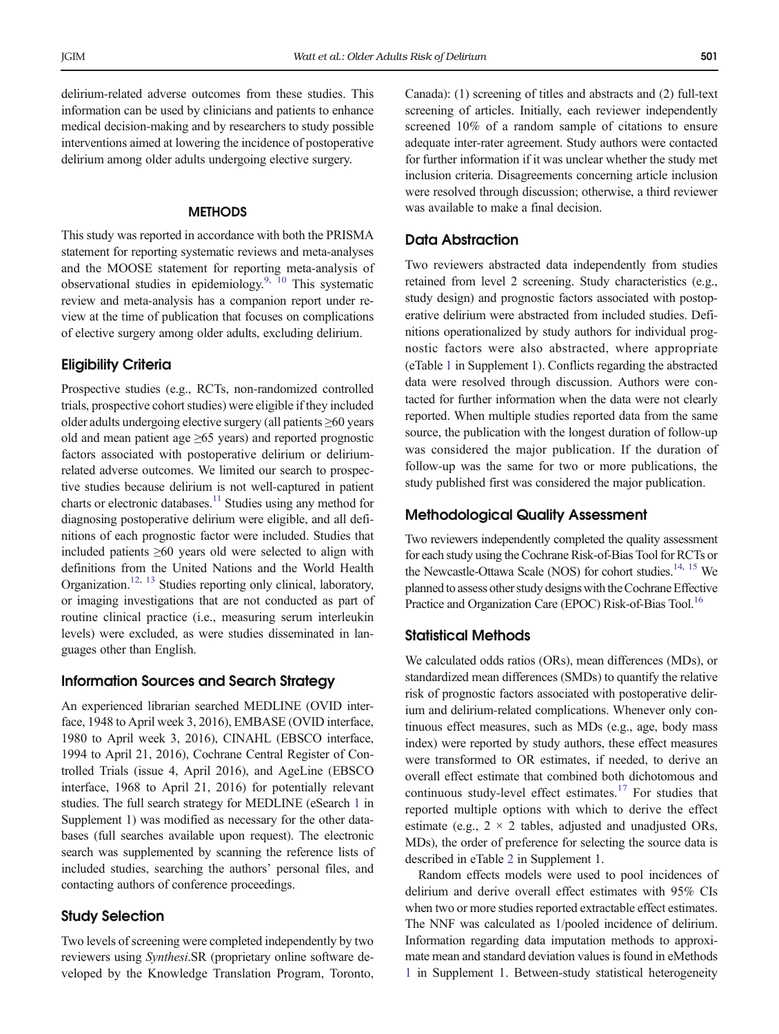delirium-related adverse outcomes from these studies. This information can be used by clinicians and patients to enhance medical decision-making and by researchers to study possible interventions aimed at lowering the incidence of postoperative delirium among older adults undergoing elective surgery.

#### **METHODS**

This study was reported in accordance with both the PRISMA statement for reporting systematic reviews and meta-analyses and the MOOSE statement for reporting meta-analysis of observational studies in epidemiology.<sup>9, [10](#page-7-0)</sup> This systematic review and meta-analysis has a companion report under review at the time of publication that focuses on complications of elective surgery among older adults, excluding delirium.

## Eligibility Criteria

Prospective studies (e.g., RCTs, non-randomized controlled trials, prospective cohort studies) were eligible if they included older adults undergoing elective surgery (all patients ≥60 years old and mean patient age  $\geq 65$  years) and reported prognostic factors associated with postoperative delirium or deliriumrelated adverse outcomes. We limited our search to prospective studies because delirium is not well-captured in patient charts or electronic databases.<sup>11</sup> Studies using any method for diagnosing postoperative delirium were eligible, and all definitions of each prognostic factor were included. Studies that included patients ≥60 years old were selected to align with definitions from the United Nations and the World Health Organization.<sup>12, [13](#page-7-0)</sup> Studies reporting only clinical, laboratory, or imaging investigations that are not conducted as part of routine clinical practice (i.e., measuring serum interleukin levels) were excluded, as were studies disseminated in languages other than English.

#### Information Sources and Search Strategy

An experienced librarian searched MEDLINE (OVID interface, 1948 to April week 3, 2016), EMBASE (OVID interface, 1980 to April week 3, 2016), CINAHL (EBSCO interface, 1994 to April 21, 2016), Cochrane Central Register of Controlled Trials (issue 4, April 2016), and AgeLine (EBSCO interface, 1968 to April 21, 2016) for potentially relevant studies. The full search strategy for MEDLINE (eSearch 1 in Supplement 1) was modified as necessary for the other databases (full searches available upon request). The electronic search was supplemented by scanning the reference lists of included studies, searching the authors' personal files, and contacting authors of conference proceedings.

## Study Selection

Two levels of screening were completed independently by two reviewers using Synthesi.SR (proprietary online software developed by the Knowledge Translation Program, Toronto, Canada): (1) screening of titles and abstracts and (2) full-text screening of articles. Initially, each reviewer independently screened 10% of a random sample of citations to ensure adequate inter-rater agreement. Study authors were contacted for further information if it was unclear whether the study met inclusion criteria. Disagreements concerning article inclusion were resolved through discussion; otherwise, a third reviewer was available to make a final decision.

# Data Abstraction

Two reviewers abstracted data independently from studies retained from level 2 screening. Study characteristics (e.g., study design) and prognostic factors associated with postoperative delirium were abstracted from included studies. Definitions operationalized by study authors for individual prognostic factors were also abstracted, where appropriate (eTable 1 in Supplement 1). Conflicts regarding the abstracted data were resolved through discussion. Authors were contacted for further information when the data were not clearly reported. When multiple studies reported data from the same source, the publication with the longest duration of follow-up was considered the major publication. If the duration of follow-up was the same for two or more publications, the study published first was considered the major publication.

## Methodological Quality Assessment

Two reviewers independently completed the quality assessment for each study using the Cochrane Risk-of-Bias Tool for RCTs or the Newcastle-Ottawa Scale (NOS) for cohort studies.<sup>14, [15](#page-7-0)</sup> We planned to assess other study designs with the Cochrane Effective Practice and Organization Care (EPOC) Risk-of-Bias Tool.<sup>[16](#page-7-0)</sup>

## Statistical Methods

We calculated odds ratios (ORs), mean differences (MDs), or standardized mean differences (SMDs) to quantify the relative risk of prognostic factors associated with postoperative delirium and delirium-related complications. Whenever only continuous effect measures, such as MDs (e.g., age, body mass index) were reported by study authors, these effect measures were transformed to OR estimates, if needed, to derive an overall effect estimate that combined both dichotomous and continuous study-level effect estimates.[17](#page-7-0) For studies that reported multiple options with which to derive the effect estimate (e.g.,  $2 \times 2$  tables, adjusted and unadjusted ORs, MDs), the order of preference for selecting the source data is described in eTable 2 in Supplement 1.

Random effects models were used to pool incidences of delirium and derive overall effect estimates with 95% CIs when two or more studies reported extractable effect estimates. The NNF was calculated as 1/pooled incidence of delirium. Information regarding data imputation methods to approximate mean and standard deviation values is found in eMethods 1 in Supplement 1. Between-study statistical heterogeneity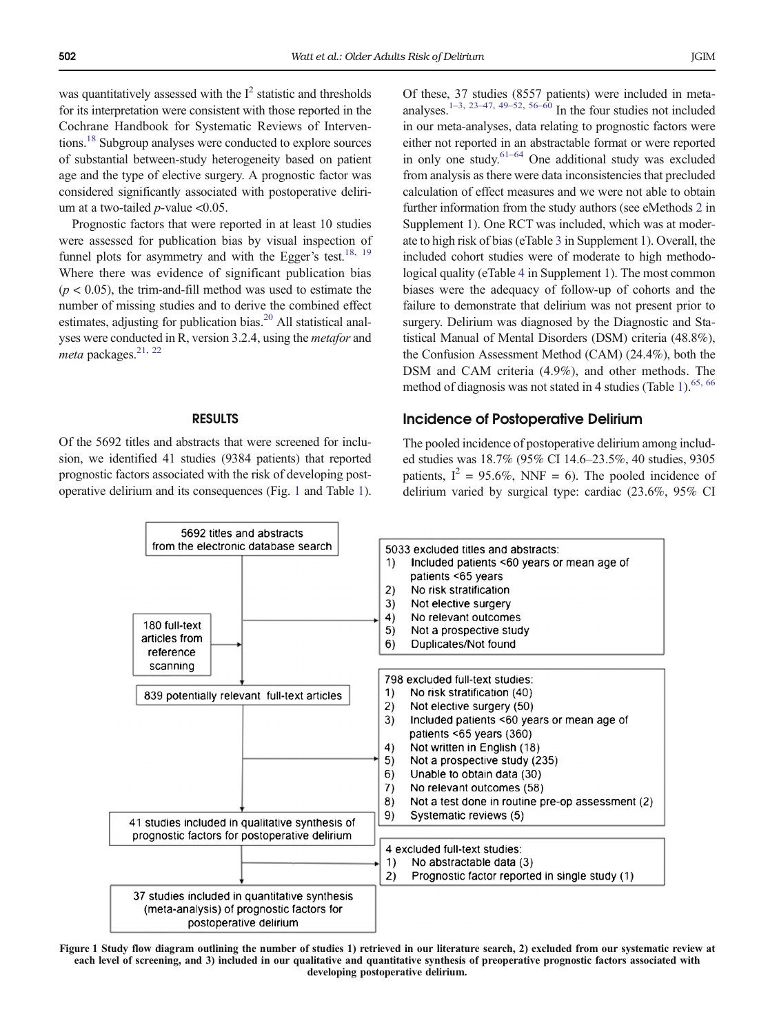was quantitatively assessed with the  $I^2$  statistic and thresholds for its interpretation were consistent with those reported in the Cochrane Handbook for Systematic Reviews of Interventions[.18](#page-8-0) Subgroup analyses were conducted to explore sources of substantial between-study heterogeneity based on patient age and the type of elective surgery. A prognostic factor was considered significantly associated with postoperative delirium at a two-tailed  $p$ -value <0.05.

Prognostic factors that were reported in at least 10 studies were assessed for publication bias by visual inspection of funnel plots for asymmetry and with the Egger's test.<sup>[18,](#page-8-0) [19](#page-8-0)</sup> Where there was evidence of significant publication bias  $(p < 0.05)$ , the trim-and-fill method was used to estimate the number of missing studies and to derive the combined effect estimates, adjusting for publication bias. $^{20}$  $^{20}$  $^{20}$  All statistical analyses were conducted in R, version 3.2.4, using the metafor and meta packages.<sup>21, [22](#page-8-0)</sup>

#### RESULTS

Of the 5692 titles and abstracts that were screened for inclusion, we identified 41 studies (9384 patients) that reported prognostic factors associated with the risk of developing postoperative delirium and its consequences (Fig. 1 and Table [1\)](#page-3-0). Of these, 37 studies (8557 patients) were included in meta-analyses.<sup>1–[3](#page-7-0), [23](#page-8-0)–[47,](#page-8-0) [49](#page-8-0)–[52,](#page-8-0) [56](#page-8-0)–[60](#page-8-0)</sup> In the four studies not included in our meta-analyses, data relating to prognostic factors were either not reported in an abstractable format or were reported in only one study. $61-64$  $61-64$  One additional study was excluded from analysis as there were data inconsistencies that precluded calculation of effect measures and we were not able to obtain further information from the study authors (see eMethods 2 in Supplement 1). One RCT was included, which was at moderate to high risk of bias (eTable 3 in Supplement 1). Overall, the included cohort studies were of moderate to high methodological quality (eTable 4 in Supplement 1). The most common biases were the adequacy of follow-up of cohorts and the failure to demonstrate that delirium was not present prior to surgery. Delirium was diagnosed by the Diagnostic and Statistical Manual of Mental Disorders (DSM) criteria (48.8%), the Confusion Assessment Method (CAM) (24.4%), both the DSM and CAM criteria (4.9%), and other methods. The method of diagnosis was not stated in 4 studies (Table [1\)](#page-3-0).<sup>65, [66](#page-9-0)</sup>

### Incidence of Postoperative Delirium

The pooled incidence of postoperative delirium among included studies was 18.7% (95% CI 14.6–23.5%, 40 studies, 9305 patients,  $I^2 = 95.6\%$ , NNF = 6). The pooled incidence of delirium varied by surgical type: cardiac (23.6%, 95% CI



Figure 1 Study flow diagram outlining the number of studies 1) retrieved in our literature search, 2) excluded from our systematic review at each level of screening, and 3) included in our qualitative and quantitative synthesis of preoperative prognostic factors associated with developing postoperative delirium.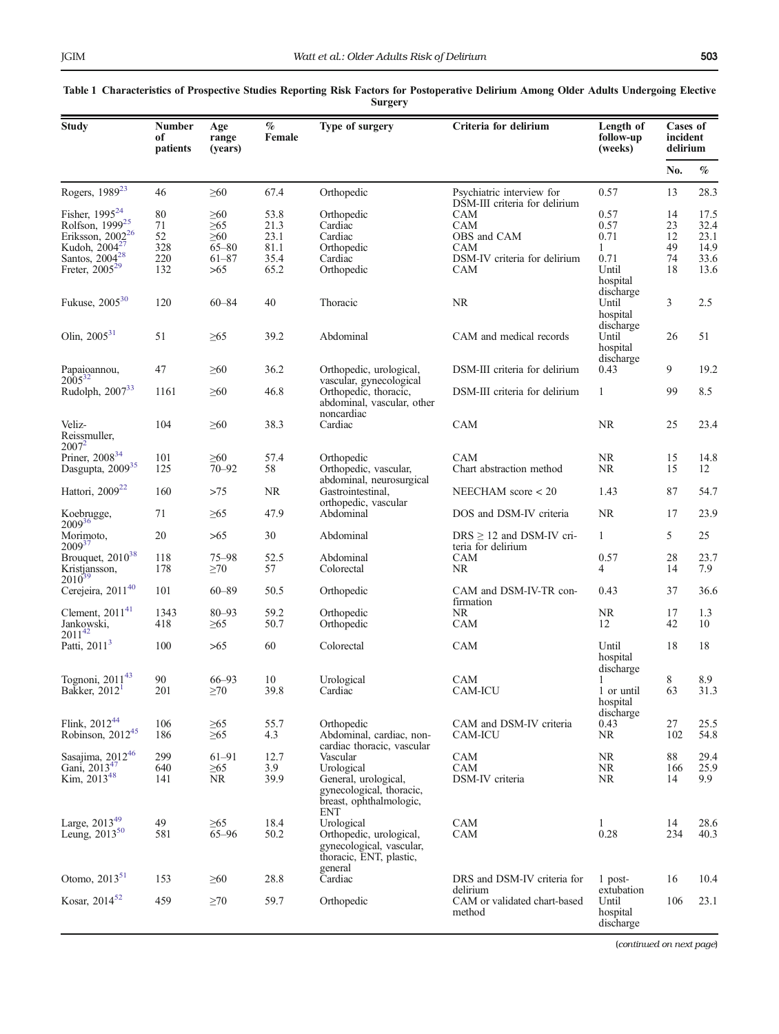| Study                                                                              | Number<br>of<br>patients | Age<br>range<br>(vears)             | $\%$<br>Female       | Type of surgery                                                                                         | Criteria for delirium                                      | Length of<br>follow-up<br>(weeks)           | Cases of<br>incident<br>delirium |                      |
|------------------------------------------------------------------------------------|--------------------------|-------------------------------------|----------------------|---------------------------------------------------------------------------------------------------------|------------------------------------------------------------|---------------------------------------------|----------------------------------|----------------------|
|                                                                                    |                          |                                     |                      |                                                                                                         |                                                            |                                             | No.                              | $\%$                 |
| Rogers, 1989 <sup>23</sup>                                                         | 46                       | $\geq 60$                           | 67.4                 | Orthopedic                                                                                              | Psychiatric interview for<br>DSM-III criteria for delirium | 0.57                                        | 13                               | 28.3                 |
| Fisher, 1995 <sup>24</sup><br>Rolfson, 1999 <sup>25</sup><br>Eriksson, $2002^{26}$ | 80<br>71<br>52           | $\geq 60$<br>$\geq 65$<br>$\geq 60$ | 53.8<br>21.3<br>23.1 | Orthopedic<br>Cardiac<br>Cardiac                                                                        | CAM<br>CAM<br>OBS and CAM                                  | 0.57<br>0.57<br>0.71                        | 14<br>23<br>12                   | 17.5<br>32.4<br>23.1 |
| Kudoh, $2004^{27}$                                                                 | 328                      | $65 - 80$                           | 81.1                 | Orthopedic                                                                                              | <b>CAM</b>                                                 | 1                                           | 49                               | 14.9                 |
| Santos, $2004^{28}$<br>Freter, 2005 <sup>29</sup>                                  | 220<br>132               | $61 - 87$<br>>65                    | 35.4<br>65.2         | Cardiac<br>Orthopedic                                                                                   | DSM-IV criteria for delirium<br><b>CAM</b>                 | 0.71<br>Until<br>hospital                   | 74<br>18                         | 33.6<br>13.6         |
| Fukuse, 2005 <sup>30</sup>                                                         | 120                      | $60 - 84$                           | 40                   | Thoracic                                                                                                | NR                                                         | discharge<br>Until<br>hospital              | 3                                | 2.5                  |
| Olin, $2005^{31}$                                                                  | 51                       | $\geq 65$                           | 39.2                 | Abdominal                                                                                               | CAM and medical records                                    | discharge<br>Until<br>hospital<br>discharge | 26                               | 51                   |
| Papaioannou,<br>$2005^{32}$                                                        | 47                       | $\geq 60$                           | 36.2                 | Orthopedic, urological,<br>vascular, gynecological                                                      | DSM-III criteria for delirium                              | 0.43                                        | 9                                | 19.2                 |
| Rudolph, 2007 <sup>33</sup>                                                        | 1161                     | $\geq 60$                           | 46.8                 | Orthopedic, thoracic,<br>abdominal, vascular, other<br>noncardiac                                       | DSM-III criteria for delirium                              | $\mathbf{1}$                                | 99                               | 8.5                  |
| Veliz-<br>Reissmuller,<br>$2007^2$                                                 | 104                      | $\geq 60$                           | 38.3                 | Cardiac                                                                                                 | CAM                                                        | NR.                                         | 25                               | 23.4                 |
| Priner, 2008 <sup>34</sup><br>Dasgupta, 2009 <sup>35</sup>                         | 101<br>125               | $\geq 60$<br>$70 - 92$              | 57.4<br>58           | Orthopedic<br>Orthopedic, vascular,<br>abdominal, neurosurgical                                         | <b>CAM</b><br>Chart abstraction method                     | NR<br>NR                                    | 15<br>15                         | 14.8<br>12           |
| Hattori, 2009 <sup>22</sup>                                                        | 160                      | >75                                 | NR                   | Gastrointestinal,<br>orthopedic, vascular                                                               | NEECHAM score $<$ 20                                       | 1.43                                        | 87                               | 54.7                 |
| Koebrugge,<br>2009 <sup>36</sup>                                                   | 71                       | $\geq 65$                           | 47.9                 | Abdominal                                                                                               | DOS and DSM-IV criteria                                    | NR                                          | 17                               | 23.9                 |
| Morimoto,<br>$2009^{37}$                                                           | 20                       | >65                                 | 30                   | Abdominal                                                                                               | $DRS \ge 12$ and DSM-IV cri-<br>teria for delirium         | $\mathbf{1}$                                | 5                                | 25                   |
| Brouquet, 2010 <sup>38</sup><br>Kristjansson,<br>$2010^{35}$                       | 118<br>178               | $75 - 98$<br>$\geq 70$              | 52.5<br>57           | Abdominal<br>Colorectal                                                                                 | <b>CAM</b><br>NR                                           | 0.57<br>$\overline{4}$                      | 28<br>14                         | 23.7<br>7.9          |
| Cerejeira, 2011 <sup>40</sup>                                                      | 101                      | $60 - 89$                           | 50.5                 | Orthopedic                                                                                              | CAM and DSM-IV-TR con-<br>firmation                        | 0.43                                        | 37                               | 36.6                 |
| Clement, $2011^{41}$<br>Jankowski,<br>2011 <sup>42</sup>                           | 1343<br>418              | $80 - 93$<br>$\geq 65$              | 59.2<br>50.7         | Orthopedic<br>Orthopedic                                                                                | NR.<br>CAM                                                 | NR<br>12                                    | 17<br>42                         | 1.3<br>10            |
| Patti, 2011 <sup>3</sup>                                                           | 100                      | >65                                 | 60                   | Colorectal                                                                                              | CAM                                                        | Until<br>hospital<br>discharge              | 18                               | 18                   |
| Tognoni, 2011 <sup>43</sup><br>Bakker, 2012 <sup>1</sup>                           | 90<br>201                | 66-93<br>$\geq 70$                  | 10<br>39.8           | Urological<br>Cardiac                                                                                   | CAM<br><b>CAM-ICU</b>                                      | 1 or until<br>hospital<br>discharge         | 8<br>63                          | 8.9<br>31.3          |
| Flink, 2012 <sup>44</sup><br>Robinson, 2012 <sup>45</sup>                          | 106<br>186               | $\geq 65$<br>$\geq 65$              | 55.7<br>4.3          | Orthopedic<br>Abdominal, cardiac, non-<br>cardiac thoracic, vascular                                    | CAM and DSM-IV criteria<br>CAM-ICU                         | 0.43<br><b>NR</b>                           | 27<br>102                        | 25.5<br>54.8         |
| Sasajima, 2012 <sup>46</sup>                                                       | 299                      | $61 - 91$                           | 12.7                 | Vascular                                                                                                | CAM                                                        | <b>NR</b>                                   | 88                               | 29.4                 |
| Gani, 2013 <sup>47</sup><br>Kim, 2013 <sup>48</sup>                                | 640<br>141               | $\geq 65$<br><b>NR</b>              | 3.9<br>39.9          | Urological<br>General, urological,<br>gynecological, thoracic,<br>breast, ophthalmologic,<br><b>ENT</b> | CAM<br>DSM-IV criteria                                     | <b>NR</b><br><b>NR</b>                      | 166<br>14                        | 25.9<br>9.9          |
| Large, 2013 <sup>49</sup><br>Leung, 2013 <sup>50</sup>                             | 49<br>581                | $\geq 65$<br>$65 - 96$              | 18.4<br>50.2         | Urological<br>Orthopedic, urological,<br>gynecological, vascular,<br>thoracic, ENT, plastic,            | <b>CAM</b><br>CAM                                          | $\mathbf{1}$<br>0.28                        | 14<br>234                        | 28.6<br>40.3         |
| Otomo, $2013^{51}$                                                                 | 153                      | $\geq 60$                           | 28.8                 | general<br>Cardiac                                                                                      | DRS and DSM-IV criteria for                                | $1$ post-<br>extubation                     | 16                               | 10.4                 |
| Kosar, 2014 <sup>52</sup>                                                          | 459                      | $\geq 70$                           | 59.7                 | Orthopedic                                                                                              | delirium<br>CAM or validated chart-based<br>method         | Until<br>hospital<br>discharge              | 106                              | 23.1                 |

#### <span id="page-3-0"></span>Table 1 Characteristics of Prospective Studies Reporting Risk Factors for Postoperative Delirium Among Older Adults Undergoing Elective Surgery

(continued on next page)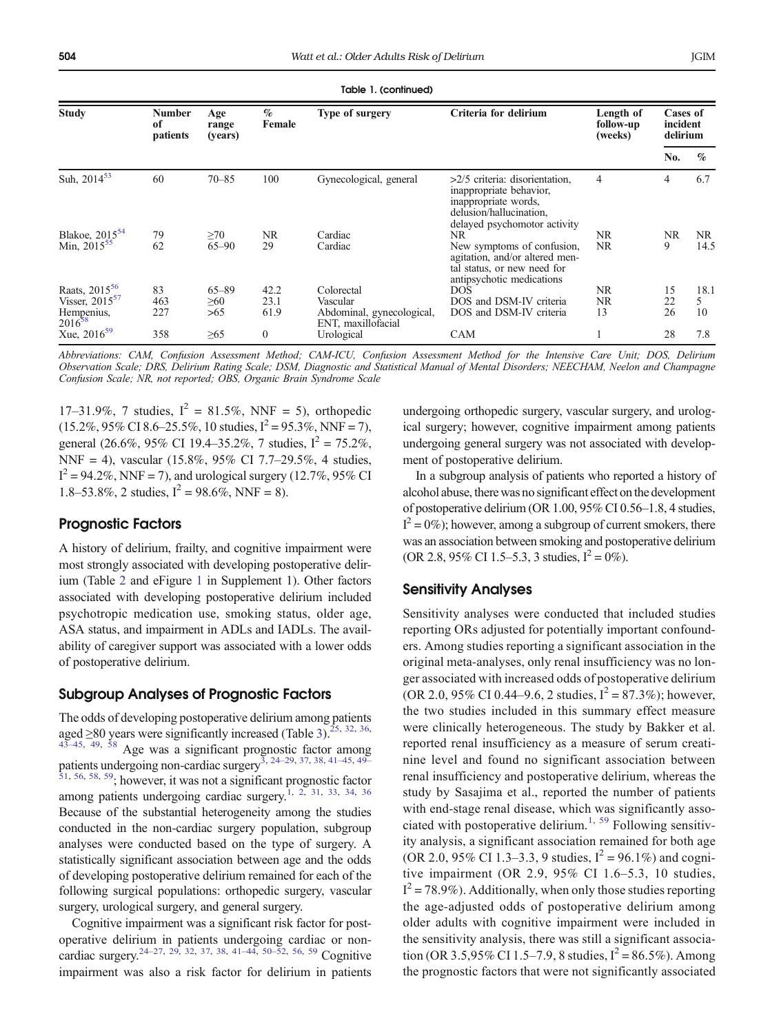Table 1. (continued)

| Study                                                 | <b>Number</b><br>of<br>patients | Age<br>range<br>(years) | $\%$<br>Female | Type of surgery                                 | Criteria for delirium                                                                                                                          | Length of<br>follow-up<br>(weeks) | Cases of<br>incident<br>delirium |      |
|-------------------------------------------------------|---------------------------------|-------------------------|----------------|-------------------------------------------------|------------------------------------------------------------------------------------------------------------------------------------------------|-----------------------------------|----------------------------------|------|
|                                                       |                                 |                         |                |                                                 |                                                                                                                                                |                                   | No.                              | $\%$ |
| Suh, $2014^{53}$                                      | 60                              | $70 - 85$               | 100            | Gynecological, general                          | $>2/5$ criteria: disorientation,<br>inappropriate behavior,<br>inappropriate words,<br>delusion/hallucination.<br>delayed psychomotor activity | 4                                 | 4                                | 6.7  |
|                                                       | 79                              | $\geq 70$               | NR.            | Cardiac                                         | NR                                                                                                                                             | NR                                | NR                               | NR.  |
| Blakoe, 2015 <sup>54</sup><br>Min, 2015 <sup>55</sup> | 62                              | $65 - 90$               | 29             | Cardiac                                         | New symptoms of confusion,<br>agitation, and/or altered men-<br>tal status, or new need for<br>antipsychotic medications                       | NR.                               | 9                                | 14.5 |
| Raats, $2015^{56}$                                    | 83                              | $65 - 89$               | 42.2           | Colorectal                                      | DOS.                                                                                                                                           | <b>NR</b>                         | 15                               | 18.1 |
| Visser, $2015^{57}$                                   | 463                             | $\geq 60$               | 23.1           | Vascular                                        | DOS and DSM-IV criteria                                                                                                                        | NR                                | 22                               | 5.   |
| Hempenius, $2016^{58}$                                | 227                             | >65                     | 61.9           | Abdominal, gynecological,<br>ENT, maxillofacial | DOS and DSM-IV criteria                                                                                                                        | 13                                | 26                               | 10   |
| Xue, $2016^{59}$                                      | 358                             | $\geq 65$               | $\mathbf{0}$   | Urological                                      | CAM                                                                                                                                            |                                   | 28                               | 7.8  |

Abbreviations: CAM, Confusion Assessment Method; CAM-ICU, Confusion Assessment Method for the Intensive Care Unit; DOS, Delirium Observation Scale; DRS, Delirium Rating Scale; DSM, Diagnostic and Statistical Manual of Mental Disorders; NEECHAM, Neelon and Champagne Confusion Scale; NR, not reported; OBS, Organic Brain Syndrome Scale

17–31.9%, 7 studies,  $I^2 = 81.5\%$ , NNF = 5), orthopedic  $(15.2\%, 95\% \text{ CI } 8.6-25.5\%, 10 \text{ studies}, I^2 = 95.3\%, \text{NNF} = 7),$ general (26.6%, 95% CI 19.4–35.2%, 7 studies,  $I^2 = 75.2\%$ , NNF = 4), vascular (15.8%, 95% CI 7.7–29.5%, 4 studies,  $I^2 = 94.2\%, NNF = 7$ , and urological surgery (12.7%, 95% CI 1.8–53.8%, 2 studies,  $I^2 = 98.6\%$ , NNF = 8).

# Prognostic Factors

A history of delirium, frailty, and cognitive impairment were most strongly associated with developing postoperative delirium (Table [2](#page-5-0) and eFigure 1 in Supplement 1). Other factors associated with developing postoperative delirium included psychotropic medication use, smoking status, older age, ASA status, and impairment in ADLs and IADLs. The availability of caregiver support was associated with a lower odds of postoperative delirium.

# Subgroup Analyses of Prognostic Factors

The odds of developing postoperative delirium among patients aged  $\geq$ 80 years were significantly increased (Table [3\)](#page-6-0).<sup>25, [32,](#page-8-0) [36](#page-8-0),</sup> [43](#page-8-0)–[45](#page-8-0), [49,](#page-8-0) [58](#page-8-0) Age was a significant prognostic factor among patients undergoing non-cardiac surgery<sup>3, [24](#page-8-0)–[29](#page-8-0), [37](#page-8-0), [38](#page-8-0), [41](#page-8-0)–[45](#page-8-0), [49](#page-8-0)–</sup> [51](#page-8-0), [56,](#page-8-0) [58](#page-8-0), [59;](#page-8-0) however, it was not a significant prognostic factor among patients undergoing cardiac surgery[.1,](#page-7-0) [2](#page-7-0), [31](#page-8-0), [33](#page-8-0), [34](#page-8-0), [36](#page-8-0) Because of the substantial heterogeneity among the studies conducted in the non-cardiac surgery population, subgroup analyses were conducted based on the type of surgery. A statistically significant association between age and the odds of developing postoperative delirium remained for each of the following surgical populations: orthopedic surgery, vascular surgery, urological surgery, and general surgery.

Cognitive impairment was a significant risk factor for postoperative delirium in patients undergoing cardiac or noncardiac surgery[.24](#page-8-0)–[27,](#page-8-0) [29,](#page-8-0) [32,](#page-8-0) [37,](#page-8-0) [38,](#page-8-0) [41](#page-8-0)–[44,](#page-8-0) [50](#page-8-0)–[52,](#page-8-0) [56,](#page-8-0) [59](#page-8-0) Cognitive impairment was also a risk factor for delirium in patients undergoing orthopedic surgery, vascular surgery, and urological surgery; however, cognitive impairment among patients undergoing general surgery was not associated with development of postoperative delirium.

In a subgroup analysis of patients who reported a history of alcohol abuse, there was no significant effect on the development of postoperative delirium (OR 1.00, 95% CI 0.56–1.8, 4 studies,  $I^2 = 0\%$ ); however, among a subgroup of current smokers, there was an association between smoking and postoperative delirium (OR 2.8, 95% CI 1.5–5.3, 3 studies,  $I^2 = 0\%$ ).

# Sensitivity Analyses

Sensitivity analyses were conducted that included studies reporting ORs adjusted for potentially important confounders. Among studies reporting a significant association in the original meta-analyses, only renal insufficiency was no longer associated with increased odds of postoperative delirium (OR 2.0, 95% CI 0.44–9.6, 2 studies,  $I^2 = 87.3\%$ ); however, the two studies included in this summary effect measure were clinically heterogeneous. The study by Bakker et al. reported renal insufficiency as a measure of serum creatinine level and found no significant association between renal insufficiency and postoperative delirium, whereas the study by Sasajima et al., reported the number of patients with end-stage renal disease, which was significantly asso-ciated with postoperative delirium.<sup>[1](#page-7-0), [59](#page-8-0)</sup> Following sensitivity analysis, a significant association remained for both age (OR 2.0, 95% CI 1.3–3.3, 9 studies,  $I^2 = 96.1\%$ ) and cognitive impairment (OR 2.9, 95% CI 1.6–5.3, 10 studies,  $I^2 = 78.9\%$ ). Additionally, when only those studies reporting the age-adjusted odds of postoperative delirium among older adults with cognitive impairment were included in the sensitivity analysis, there was still a significant association (OR 3.5,95% CI 1.5–7.9, 8 studies,  $I^2 = 86.5\%$ ). Among the prognostic factors that were not significantly associated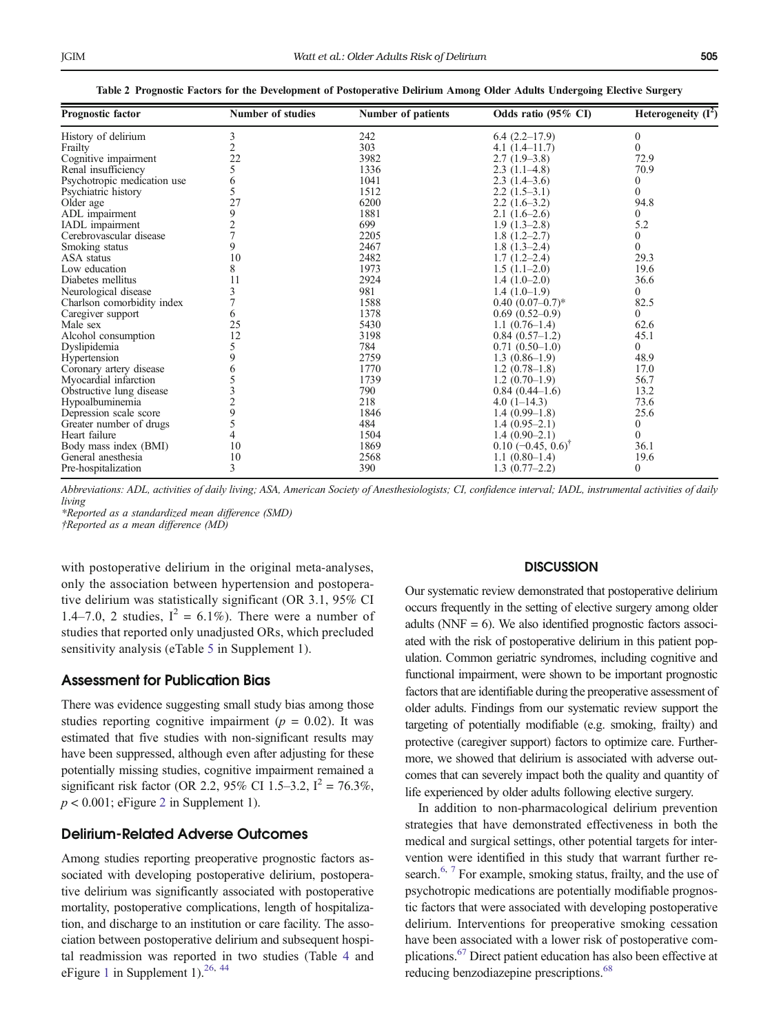<span id="page-5-0"></span>

| Prognostic factor           | <b>Number of studies</b> | Number of patients | Odds ratio (95% CI)                 | Heterogeneity $(\overline{I^2})$ |
|-----------------------------|--------------------------|--------------------|-------------------------------------|----------------------------------|
| History of delirium         | 3                        | 242                | $6.4(2.2-17.9)$                     | $\Omega$                         |
| Frailty                     |                          | 303                | $4.1(1.4-11.7)$                     | $\Omega$                         |
| Cognitive impairment        | 22                       | 3982               | $2.7(1.9-3.8)$                      | 72.9                             |
| Renal insufficiency         | 5                        | 1336               | $2.3(1.1-4.8)$                      | 70.9                             |
| Psychotropic medication use | 6                        | 1041               | $2.3(1.4-3.6)$                      | 0                                |
| Psychiatric history         |                          | 1512               | $2.2(1.5-3.1)$                      | $\theta$                         |
| Older age                   | 27                       | 6200               | $2.2(1.6-3.2)$                      | 94.8                             |
| ADL impairment              | 9                        | 1881               | $2.1(1.6-2.6)$                      | $\Omega$                         |
| IADL impairment             |                          | 699                | $1.9(1.3-2.8)$                      | 5.2                              |
| Cerebrovascular disease     |                          | 2205               | $1.8(1.2-2.7)$                      | 0                                |
| Smoking status              | 9                        | 2467               | $1.8(1.3-2.4)$                      | $\theta$                         |
| ASA status                  | 10                       | 2482               | $1.7(1.2-2.4)$                      | 29.3                             |
| Low education               | 8                        | 1973               | $1.5(1.1-2.0)$                      | 19.6                             |
| Diabetes mellitus           | 11                       | 2924               | $1.4(1.0-2.0)$                      | 36.6                             |
| Neurological disease        |                          | 981                | $1.4(1.0-1.9)$                      | $\theta$                         |
| Charlson comorbidity index  |                          | 1588               | $0.40(0.07-0.7)$ *                  | 82.5                             |
| Caregiver support           | 6                        | 1378               | $0.69(0.52-0.9)$                    | $\Omega$                         |
| Male sex                    | 25                       | 5430               | $1.1(0.76-1.4)$                     | 62.6                             |
| Alcohol consumption         | 12                       | 3198               | $0.84(0.57-1.2)$                    | 45.1                             |
| Dyslipidemia                |                          | 784                | $0.71(0.50-1.0)$                    | $\theta$                         |
| Hypertension                | 9                        | 2759               | $1.3(0.86-1.9)$                     | 48.9                             |
| Coronary artery disease     | 6                        | 1770               | $1.2(0.78-1.8)$                     | 17.0                             |
| Myocardial infarction       |                          | 1739               | $1.2(0.70-1.9)$                     | 56.7                             |
| Obstructive lung disease    |                          | 790                | $0.84(0.44-1.6)$                    | 13.2                             |
| Hypoalbuminemia             |                          | 218                | $4.0(1-14.3)$                       | 73.6                             |
| Depression scale score      |                          | 1846               | $1.4(0.99-1.8)$                     | 25.6                             |
| Greater number of drugs     |                          | 484                | $1.4(0.95-2.1)$                     | $\boldsymbol{0}$                 |
| Heart failure               |                          | 1504               | $1.4(0.90-2.1)$                     | $\theta$                         |
| Body mass index (BMI)       | 10                       | 1869               | $0.10$ (-0.45, $0.6$ ) <sup>†</sup> | 36.1                             |
| General anesthesia          | 10                       | 2568               | $1.1(0.80-1.4)$                     | 19.6                             |
| Pre-hospitalization         | 3                        | 390                | $1.3(0.77-2.2)$                     | $\mathbf{0}$                     |

Table 2 Prognostic Factors for the Development of Postoperative Delirium Among Older Adults Undergoing Elective Surgery

Abbreviations: ADL, activities of daily living; ASA, American Society of Anesthesiologists; CI, confidence interval; IADL, instrumental activities of daily living

\*Reported as a standardized mean difference (SMD)

†Reported as a mean difference (MD)

with postoperative delirium in the original meta-analyses, only the association between hypertension and postoperative delirium was statistically significant (OR 3.1, 95% CI 1.4–7.0, 2 studies,  $I^2 = 6.1\%$ ). There were a number of studies that reported only unadjusted ORs, which precluded sensitivity analysis (eTable 5 in Supplement 1).

## Assessment for Publication Bias

There was evidence suggesting small study bias among those studies reporting cognitive impairment ( $p = 0.02$ ). It was estimated that five studies with non-significant results may have been suppressed, although even after adjusting for these potentially missing studies, cognitive impairment remained a significant risk factor (OR 2.2, 95% CI 1.5–3.2,  $I^2 = 76.3\%$ ,  $p < 0.001$ ; eFigure 2 in Supplement 1).

## Delirium-Related Adverse Outcomes

Among studies reporting preoperative prognostic factors associated with developing postoperative delirium, postoperative delirium was significantly associated with postoperative mortality, postoperative complications, length of hospitalization, and discharge to an institution or care facility. The association between postoperative delirium and subsequent hospital readmission was reported in two studies (Table [4](#page-6-0) and eFigure 1 in Supplement 1).<sup>26, [44](#page-8-0)</sup>

### **DISCUSSION**

Our systematic review demonstrated that postoperative delirium occurs frequently in the setting of elective surgery among older adults ( $NNF = 6$ ). We also identified prognostic factors associated with the risk of postoperative delirium in this patient population. Common geriatric syndromes, including cognitive and functional impairment, were shown to be important prognostic factors that are identifiable during the preoperative assessment of older adults. Findings from our systematic review support the targeting of potentially modifiable (e.g. smoking, frailty) and protective (caregiver support) factors to optimize care. Furthermore, we showed that delirium is associated with adverse outcomes that can severely impact both the quality and quantity of life experienced by older adults following elective surgery.

In addition to non-pharmacological delirium prevention strategies that have demonstrated effectiveness in both the medical and surgical settings, other potential targets for intervention were identified in this study that warrant further re-search.<sup>[6](#page-7-0), [7](#page-7-0)</sup> For example, smoking status, frailty, and the use of psychotropic medications are potentially modifiable prognostic factors that were associated with developing postoperative delirium. Interventions for preoperative smoking cessation have been associated with a lower risk of postoperative complications.[67](#page-9-0) Direct patient education has also been effective at reducing benzodiazepine prescriptions.<sup>68</sup>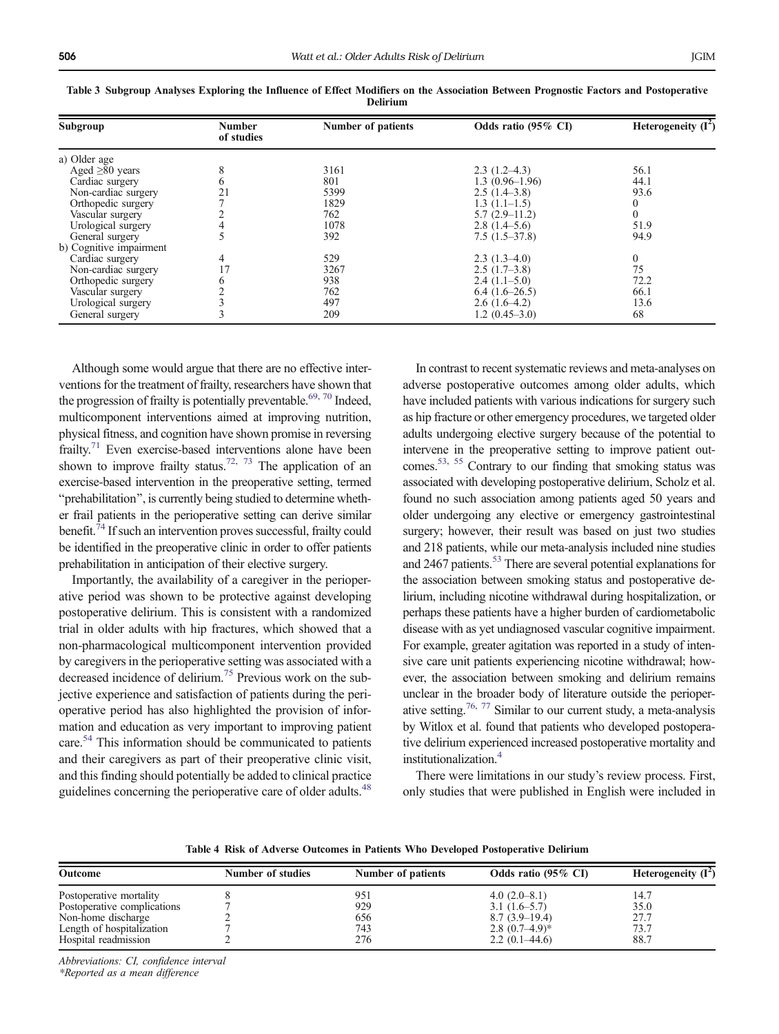Subgroup

a) Older age

General surgery

b) Cognitive impairment

| <b>Delirium</b>      |                             |                    |                     |                       |  |
|----------------------|-----------------------------|--------------------|---------------------|-----------------------|--|
| ıbgroup              | <b>Number</b><br>of studies | Number of patients | Odds ratio (95% CI) | Heterogeneity $(I^2)$ |  |
| Older age            |                             |                    |                     |                       |  |
| Aged $\geq 80$ years |                             | 3161               | $2.3(1.2-4.3)$      | 56.1                  |  |
| Cardiac surgery      |                             | 801                | $1.3(0.96-1.96)$    | 44.1                  |  |
| Non-cardiac surgery  |                             | 5399               | $2.5(1.4-3.8)$      | 93.6                  |  |
| Orthopedic surgery   |                             | 1829               | $1.3(1.1-1.5)$      |                       |  |
| Vascular surgery     |                             | 762                | $5.7(2.9-11.2)$     |                       |  |
| Urological surgery   |                             | 1078               | $2.8(1.4-5.6)$      | 51.9                  |  |
| General surgery      |                             | 392                | $7.5(1.5-37.8)$     | 94.9                  |  |

<span id="page-6-0"></span>

| Table 3 Subgroup Analyses Exploring the Influence of Effect Modifiers on the Association Between Prognostic Factors and Postoperative |                 |  |  |
|---------------------------------------------------------------------------------------------------------------------------------------|-----------------|--|--|
|                                                                                                                                       | <b>Delirium</b> |  |  |

Cardiac surgery 17 529 2.3 (1.3–4.0) 0<br>
Non-cardiac surgery 17 3267 2.5 (1.7–3.8) 75 17 3267 2.5 (1.7–3.8) 75<br>
17 3267 2.5 (1.7–3.8) 75<br>
17 3267 2.4 (1.1–5.0) 72.2<br>
17 762 6.4 (1.6–26.5) 66.1<br>
13.6<br>
13.6<br>
2.6 (1.6–4.2) 13.6 Orthopedic surgery 6 6 938 2.4 (1.1–5.0) 72.2<br>Vascular surgery 2 762 6.4 (1.6–26.5) 66.1 Vascular surgery  $2$  762 6.4 (1.6–26.5) 66.1<br>
Urological surgery 3 497 2.6 (1.6–4.2) 13.6 Urological surgery 3 497 2.6 (1.6–4.2) 13<br>
General surgery 3 209 1.2 (0.45–3.0) 68

Although some would argue that there are no effective interventions for the treatment of frailty, researchers have shown that the progression of frailty is potentially preventable.<sup>69, [70](#page-9-0)</sup> Indeed, multicomponent interventions aimed at improving nutrition, physical fitness, and cognition have shown promise in reversing frailty.<sup>[71](#page-9-0)</sup> Even exercise-based interventions alone have been shown to improve frailty status.<sup>72, [73](#page-9-0)</sup> The application of an exercise-based intervention in the preoperative setting, termed "prehabilitation", is currently being studied to determine whether frail patients in the perioperative setting can derive similar benefit.<sup>74</sup> If such an intervention proves successful, frailty could be identified in the preoperative clinic in order to offer patients prehabilitation in anticipation of their elective surgery.

Importantly, the availability of a caregiver in the perioperative period was shown to be protective against developing postoperative delirium. This is consistent with a randomized trial in older adults with hip fractures, which showed that a non-pharmacological multicomponent intervention provided by caregivers in the perioperative setting was associated with a decreased incidence of delirium[.75](#page-9-0) Previous work on the subjective experience and satisfaction of patients during the perioperative period has also highlighted the provision of information and education as very important to improving patient care[.54](#page-8-0) This information should be communicated to patients and their caregivers as part of their preoperative clinic visit, and this finding should potentially be added to clinical practice guidelines concerning the perioperative care of older adults.<sup>[48](#page-8-0)</sup>

In contrast to recent systematic reviews and meta-analyses on adverse postoperative outcomes among older adults, which have included patients with various indications for surgery such as hip fracture or other emergency procedures, we targeted older adults undergoing elective surgery because of the potential to intervene in the preoperative setting to improve patient outcomes.[53,](#page-8-0) [55](#page-8-0) Contrary to our finding that smoking status was associated with developing postoperative delirium, Scholz et al. found no such association among patients aged 50 years and older undergoing any elective or emergency gastrointestinal surgery; however, their result was based on just two studies and 218 patients, while our meta-analysis included nine studies and 2467 patients.<sup>53</sup> There are several potential explanations for the association between smoking status and postoperative delirium, including nicotine withdrawal during hospitalization, or perhaps these patients have a higher burden of cardiometabolic disease with as yet undiagnosed vascular cognitive impairment. For example, greater agitation was reported in a study of intensive care unit patients experiencing nicotine withdrawal; however, the association between smoking and delirium remains unclear in the broader body of literature outside the perioper-ative setting.<sup>76, [77](#page-9-0)</sup> Similar to our current study, a meta-analysis by Witlox et al. found that patients who developed postoperative delirium experienced increased postoperative mortality and institutionalization[.4](#page-7-0)

There were limitations in our study's review process. First, only studies that were published in English were included in

Table 4 Risk of Adverse Outcomes in Patients Who Developed Postoperative Delirium

| <b>Outcome</b>              | Number of studies | Number of patients | Odds ratio (95% CI) | Heterogeneity $(I^2)$ |
|-----------------------------|-------------------|--------------------|---------------------|-----------------------|
| Postoperative mortality     |                   | 951                | $4.0(2.0-8.1)$      | 14.7                  |
| Postoperative complications |                   | 929                | $3.1(1.6-5.7)$      | 35.0                  |
| Non-home discharge          |                   | 656                | $8.7(3.9-19.4)$     | 27.7                  |
| Length of hospitalization   |                   | 743                | $2.8(0.7-4.9)$ *    | 73.7                  |
| Hospital readmission        |                   | 276                | $2.2(0.1-44.6)$     | 88.7                  |

Abbreviations: CI, confidence interval

\*Reported as a mean difference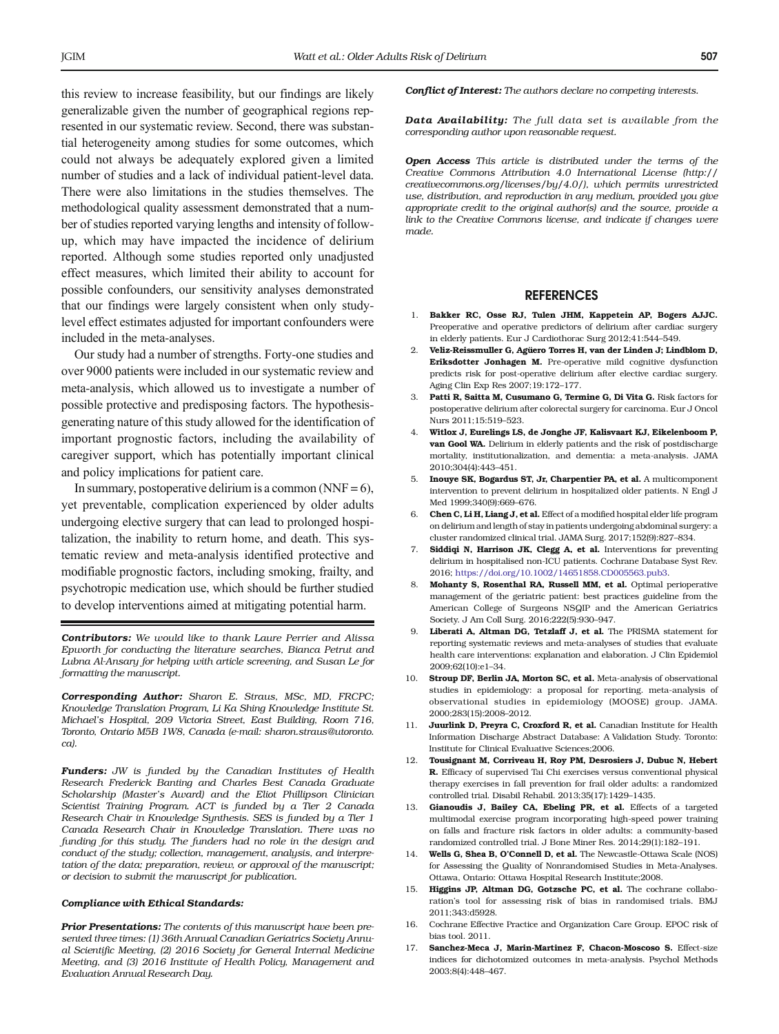<span id="page-7-0"></span>this review to increase feasibility, but our findings are likely generalizable given the number of geographical regions represented in our systematic review. Second, there was substantial heterogeneity among studies for some outcomes, which could not always be adequately explored given a limited number of studies and a lack of individual patient-level data. There were also limitations in the studies themselves. The methodological quality assessment demonstrated that a number of studies reported varying lengths and intensity of followup, which may have impacted the incidence of delirium reported. Although some studies reported only unadjusted effect measures, which limited their ability to account for possible confounders, our sensitivity analyses demonstrated that our findings were largely consistent when only studylevel effect estimates adjusted for important confounders were included in the meta-analyses.

Our study had a number of strengths. Forty-one studies and over 9000 patients were included in our systematic review and meta-analysis, which allowed us to investigate a number of possible protective and predisposing factors. The hypothesisgenerating nature of this study allowed for the identification of important prognostic factors, including the availability of caregiver support, which has potentially important clinical and policy implications for patient care.

In summary, postoperative delirium is a common (NNF =  $6$ ), yet preventable, complication experienced by older adults undergoing elective surgery that can lead to prolonged hospitalization, the inability to return home, and death. This systematic review and meta-analysis identified protective and modifiable prognostic factors, including smoking, frailty, and psychotropic medication use, which should be further studied to develop interventions aimed at mitigating potential harm.

Contributors: We would like to thank Laure Perrier and Alissa Epworth for conducting the literature searches, Bianca Petrut and Lubna Al-Ansary for helping with article screening, and Susan Le for formatting the manuscript.

Corresponding Author: Sharon E. Straus, MSc, MD, FRCPC; Knowledge Translation Program, Li Ka Shing Knowledge Institute St. Michael's Hospital, 209 Victoria Street, East Building, Room 716, Toronto, Ontario M5B 1W8, Canada (e-mail: sharon.straus@utoronto. ca).

Funders: JW is funded by the Canadian Institutes of Health Research Frederick Banting and Charles Best Canada Graduate Scholarship (Master's Award) and the Eliot Phillipson Clinician Scientist Training Program. ACT is funded by a Tier 2 Canada Research Chair in Knowledge Synthesis. SES is funded by a Tier 1 Canada Research Chair in Knowledge Translation. There was no funding for this study. The funders had no role in the design and conduct of the study; collection, management, analysis, and interpretation of the data; preparation, review, or approval of the manuscript; or decision to submit the manuscript for publication.

#### Compliance with Ethical Standards:

Prior Presentations: The contents of this manuscript have been presented three times: (1) 36th Annual Canadian Geriatrics Society Annual Scientific Meeting, (2) 2016 Society for General Internal Medicine Meeting, and (3) 2016 Institute of Health Policy, Management and Evaluation Annual Research Day.

Conflict of Interest: The authors declare no competing interests.

Data Availability: The full data set is available from the corresponding author upon reasonable request.

Open Access This article is distributed under the terms of the Creative Commons Attribution 4.0 International License (http:// creativecommons.org/licenses/by/4.0/), which permits unrestricted use, distribution, and reproduction in any medium, provided you give appropriate credit to the original author(s) and the source, provide a link to the Creative Commons license, and indicate if changes were made.

#### REFERENCES

- 1. Bakker RC, Osse RJ, Tulen JHM, Kappetein AP, Bogers AJJC. Preoperative and operative predictors of delirium after cardiac surgery in elderly patients. Eur J Cardiothorac Surg 2012;41:544–549.
- 2. Veliz-Reissmuller G, Agüero Torres H, van der Linden J; Lindblom D, Eriksdotter Jonhagen M. Pre-operative mild cognitive dysfunction predicts risk for post-operative delirium after elective cardiac surgery. Aging Clin Exp Res 2007;19:172–177.
- 3. Patti R, Saitta M, Cusumano G, Termine G, Di Vita G. Risk factors for postoperative delirium after colorectal surgery for carcinoma. Eur J Oncol Nurs 2011;15:519–523.
- 4. Witlox J, Eurelings LS, de Jonghe JF, Kalisvaart KJ, Eikelenboom P, van Gool WA. Delirium in elderly patients and the risk of postdischarge mortality, institutionalization, and dementia: a meta-analysis. JAMA 2010;304(4):443–451.
- 5. Inouye SK, Bogardus ST, Jr, Charpentier PA, et al. A multicomponent intervention to prevent delirium in hospitalized older patients. N Engl J Med 1999;340(9):669–676.
- 6. Chen C, Li H, Liang J, et al. Effect of a modified hospital elder life program on delirium and length of stay in patients undergoing abdominal surgery: a cluster randomized clinical trial. JAMA Surg. 2017;152(9):827–834.
- 7. Siddiqi N, Harrison JK, Clegg A, et al. Interventions for preventing delirium in hospitalised non-ICU patients. Cochrane Database Syst Rev. 2016; <https://doi.org/10.1002/14651858.CD005563.pub3>.
- 8. Mohanty S, Rosenthal RA, Russell MM, et al. Optimal perioperative management of the geriatric patient: best practices guideline from the American College of Surgeons NSQIP and the American Geriatrics Society. J Am Coll Surg. 2016;222(5):930–947.
- 9. Liberati A, Altman DG, Tetzlaff J, et al. The PRISMA statement for reporting systematic reviews and meta-analyses of studies that evaluate health care interventions: explanation and elaboration. J Clin Epidemiol 2009;62(10):e1–34.
- 10. Stroup DF, Berlin JA, Morton SC, et al. Meta-analysis of observational studies in epidemiology: a proposal for reporting. meta-analysis of observational studies in epidemiology (MOOSE) group. JAMA. 2000;283(15):2008–2012.
- 11. Juurlink D, Preyra C, Croxford R, et al. Canadian Institute for Health Information Discharge Abstract Database: A Validation Study. Toronto: Institute for Clinical Evaluative Sciences;2006.
- 12. Tousignant M, Corriveau H, Roy PM, Desrosiers J, Dubuc N, Hebert R. Efficacy of supervised Tai Chi exercises versus conventional physical therapy exercises in fall prevention for frail older adults: a randomized controlled trial. Disabil Rehabil. 2013;35(17):1429–1435.
- 13. Gianoudis J, Bailey CA, Ebeling PR, et al. Effects of a targeted multimodal exercise program incorporating high-speed power training on falls and fracture risk factors in older adults: a community-based randomized controlled trial. J Bone Miner Res. 2014;29(1):182–191.
- 14. Wells G, Shea B, O'Connell D, et al. The Newcastle-Ottawa Scale (NOS) for Assessing the Quality of Nonrandomised Studies in Meta-Analyses. Ottawa, Ontario: Ottawa Hospital Research Institute;2008.
- Higgins JP, Altman DG, Gotzsche PC, et al. The cochrane collaboration's tool for assessing risk of bias in randomised trials. BMJ 2011;343:d5928.
- 16. Cochrane Effective Practice and Organization Care Group. EPOC risk of bias tool. 2011.
- 17. Sanchez-Meca J, Marin-Martinez F, Chacon-Moscoso S. Effect-size indices for dichotomized outcomes in meta-analysis. Psychol Methods 2003;8(4):448–467.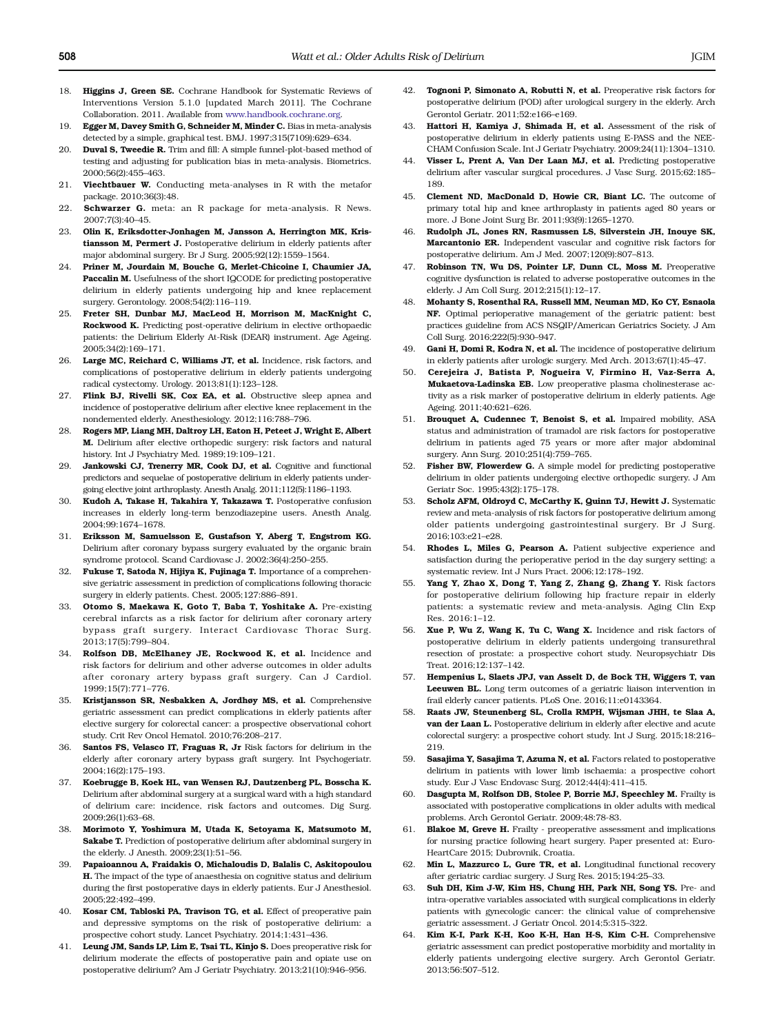- <span id="page-8-0"></span>18. **Higgins J, Green SE,** Cochrane Handbook for Systematic Reviews of Interventions Version 5.1.0 [updated March 2011]. The Cochrane Collaboration. 2011. Available from [www.handbook.cochrane.org](http://dx.doi.org/http://www.handbook.cochrane.org).
- 19. Egger M, Davey Smith G, Schneider M, Minder C. Bias in meta-analysis detected by a simple, graphical test. BMJ. 1997;315(7109):629–634.
- 20. **Duval S. Tweedie R.** Trim and fill: A simple funnel-plot-based method of testing and adjusting for publication bias in meta-analysis. Biometrics. 2000;56(2):455–463.
- 21. Viechtbauer W. Conducting meta-analyses in R with the metafor package. 2010;36(3):48.
- 22. **Schwarzer G.** meta: an R package for meta-analysis. R News. 2007;7(3):40–45.
- 23. Olin K, Eriksdotter-Jonhagen M, Jansson A, Herrington MK, Kristiansson M, Permert J. Postoperative delirium in elderly patients after major abdominal surgery. Br J Surg. 2005;92(12):1559–1564.
- 24. Priner M, Jourdain M, Bouche G, Merlet-Chicoine I, Chaumier JA, Paccalin M. Usefulness of the short IQCODE for predicting postoperative delirium in elderly patients undergoing hip and knee replacement surgery. Gerontology. 2008;54(2):116–119.
- 25. Freter SH, Dunbar MJ, MacLeod H, Morrison M, MacKnight C, Rockwood K. Predicting post-operative delirium in elective orthopaedic patients: the Delirium Elderly At-Risk (DEAR) instrument. Age Ageing. 2005;34(2):169–171.
- 26. Large MC, Reichard C, Williams JT, et al. Incidence, risk factors, and complications of postoperative delirium in elderly patients undergoing radical cystectomy. Urology. 2013;81(1):123–128.
- Flink BJ, Rivelli SK, Cox EA, et al. Obstructive sleep apnea and incidence of postoperative delirium after elective knee replacement in the nondemented elderly. Anesthesiology. 2012;116:788–796.
- 28. Rogers MP, Liang MH, Daltroy LH, Eaton H, Peteet J, Wright E, Albert M. Delirium after elective orthopedic surgery: risk factors and natural history. Int J Psychiatry Med. 1989;19:109–121.
- 29. Jankowski CJ, Trenerry MR, Cook DJ, et al. Cognitive and functional predictors and sequelae of postoperative delirium in elderly patients undergoing elective joint arthroplasty. Anesth Analg. 2011;112(5):1186–1193.
- 30. Kudoh A, Takase H, Takahira Y, Takazawa T. Postoperative confusion increases in elderly long-term benzodiazepine users. Anesth Analg. 2004;99:1674–1678.
- 31. Eriksson M, Samuelsson E, Gustafson Y, Aberg T, Engstrom KG. Delirium after coronary bypass surgery evaluated by the organic brain syndrome protocol. Scand Cardiovasc J. 2002;36(4):250–255.
- 32. Fukuse T, Satoda N, Hijiya K, Fujinaga T. Importance of a comprehensive geriatric assessment in prediction of complications following thoracic surgery in elderly patients. Chest. 2005;127:886–891.
- 33. Otomo S, Maekawa K, Goto T, Baba T, Yoshitake A. Pre-existing cerebral infarcts as a risk factor for delirium after coronary artery bypass graft surgery. Interact Cardiovasc Thorac Surg. 2013;17(5):799–804.
- Rolfson DB, McElhaney JE, Rockwood K, et al. Incidence and risk factors for delirium and other adverse outcomes in older adults after coronary artery bypass graft surgery. Can J Cardiol. 1999;15(7):771–776.
- 35. Kristjansson SR, Nesbakken A, Jordhøy MS, et al. Comprehensive geriatric assessment can predict complications in elderly patients after elective surgery for colorectal cancer: a prospective observational cohort study. Crit Rev Oncol Hematol. 2010;76:208–217.
- 36. Santos FS, Velasco IT, Fraguas R, Jr Risk factors for delirium in the elderly after coronary artery bypass graft surgery. Int Psychogeriatr. 2004;16(2):175–193.
- 37. Koebrugge B, Koek HL, van Wensen RJ, Dautzenberg PL, Bosscha K. Delirium after abdominal surgery at a surgical ward with a high standard of delirium care: incidence, risk factors and outcomes. Dig Surg. 2009;26(1):63–68.
- 38. Morimoto Y, Yoshimura M, Utada K, Setoyama K, Matsumoto M, Sakabe T. Prediction of postoperative delirium after abdominal surgery in the elderly. J Anesth. 2009;23(1):51–56.
- 39. Papaioannou A, Fraidakis O, Michaloudis D, Balalis C, Askitopoulou H. The impact of the type of anaesthesia on cognitive status and delirium during the first postoperative days in elderly patients. Eur J Anesthesiol. 2005;22:492–499.
- 40. Kosar CM, Tabloski PA, Travison TG, et al. Effect of preoperative pain and depressive symptoms on the risk of postoperative delirium: a prospective cohort study. Lancet Psychiatry. 2014;1:431–436.
- 41. Leung JM, Sands LP, Lim E, Tsai TL, Kinjo S. Does preoperative risk for delirium moderate the effects of postoperative pain and opiate use on postoperative delirium? Am J Geriatr Psychiatry. 2013;21(10):946–956.
- 42. **Tognoni P, Simonato A, Robutti N, et al.** Preoperative risk factors for postoperative delirium (POD) after urological surgery in the elderly. Arch Gerontol Geriatr. 2011;52:e166–e169.
- 43. Hattori H, Kamiya J, Shimada H, et al. Assessment of the risk of postoperative delirium in elderly patients using E-PASS and the NEE-CHAM Confusion Scale. Int J Geriatr Psychiatry. 2009;24(11):1304–1310.
- 44. Visser L, Prent A, Van Der Laan MJ, et al. Predicting postoperative delirium after vascular surgical procedures. J Vasc Surg. 2015;62:185– 189.
- 45. Clement ND, MacDonald D, Howie CR, Biant LC. The outcome of primary total hip and knee arthroplasty in patients aged 80 years or more. J Bone Joint Surg Br. 2011;93(9):1265–1270.
- 46. Rudolph JL, Jones RN, Rasmussen LS, Silverstein JH, Inouye SK, Marcantonio ER. Independent vascular and cognitive risk factors for postoperative delirium. Am J Med. 2007;120(9):807–813.
- 47. Robinson TN, Wu DS, Pointer LF, Dunn CL, Moss M. Preoperative cognitive dysfunction is related to adverse postoperative outcomes in the elderly. J Am Coll Surg. 2012;215(1):12–17.
- 48. Mohanty S, Rosenthal RA, Russell MM, Neuman MD, Ko CY, Esnaola NF. Optimal perioperative management of the geriatric patient: best practices guideline from ACS NSQIP/American Geriatrics Society. J Am Coll Surg. 2016;222(5):930–947.
- 49. Gani H. Domi R. Kodra N. et al. The incidence of postoperative delirium in elderly patients after urologic surgery. Med Arch. 2013;67(1):45–47.
- 50. Cerejeira J, Batista P, Nogueira V, Firmino H, Vaz-Serra A, Mukaetova-Ladinska EB. Low preoperative plasma cholinesterase activity as a risk marker of postoperative delirium in elderly patients. Age Ageing. 2011;40:621–626.
- 51. Brouquet A, Cudennec T, Benoist S, et al. Impaired mobility, ASA status and administration of tramadol are risk factors for postoperative delirium in patients aged 75 years or more after major abdominal surgery. Ann Surg. 2010;251(4):759–765.
- 52. Fisher BW, Flowerdew G. A simple model for predicting postoperative delirium in older patients undergoing elective orthopedic surgery. J Am Geriatr Soc. 1995;43(2):175–178.
- 53. Scholz AFM, Oldroyd C, McCarthy K, Quinn TJ, Hewitt J. Systematic review and meta-analysis of risk factors for postoperative delirium among older patients undergoing gastrointestinal surgery. Br J Surg. 2016;103:e21–e28.
- 54. Rhodes L, Miles G, Pearson A. Patient subjective experience and satisfaction during the perioperative period in the day surgery setting: a systematic review. Int J Nurs Pract. 2006;12:178–192.
- 55. Yang Y, Zhao X, Dong T, Yang Z, Zhang Q, Zhang Y. Risk factors for postoperative delirium following hip fracture repair in elderly patients: a systematic review and meta-analysis. Aging Clin Exp Res. 2016:1–12.
- 56. Xue P, Wu Z, Wang K, Tu C, Wang X. Incidence and risk factors of postoperative delirium in elderly patients undergoing transurethral resection of prostate: a prospective cohort study. Neuropsychiatr Dis Treat. 2016;12:137–142.
- 57. Hempenius L, Slaets JPJ, van Asselt D, de Bock TH, Wiggers T, van Leeuwen BL. Long term outcomes of a geriatric liaison intervention in frail elderly cancer patients. PLoS One. 2016;11:e0143364.
- 58. Raats JW, Steunenberg SL, Crolla RMPH, Wijsman JHH, te Slaa A, van der Laan L. Postoperative delirium in elderly after elective and acute colorectal surgery: a prospective cohort study. Int J Surg. 2015;18:216– 219.
- 59. Sasajima Y, Sasajima T, Azuma N, et al. Factors related to postoperative delirium in patients with lower limb ischaemia: a prospective cohort study. Eur J Vasc Endovasc Surg. 2012;44(4):411–415.
- 60. Dasgupta M, Rolfson DB, Stolee P, Borrie MJ, Speechley M. Frailty is associated with postoperative complications in older adults with medical problems. Arch Gerontol Geriatr. 2009;48:78-83.
- 61. Blakoe M, Greve H. Frailty preoperative assessment and implications for nursing practice following heart surgery. Paper presented at: Euro-HeartCare 2015; Dubrovnik, Croatia.
- Min L, Mazzurco L, Gure TR, et al. Longitudinal functional recovery after geriatric cardiac surgery. J Surg Res. 2015;194:25–33.
- 63. Suh DH, Kim J-W, Kim HS, Chung HH, Park NH, Song YS. Pre- and intra-operative variables associated with surgical complications in elderly patients with gynecologic cancer: the clinical value of comprehensive geriatric assessment. J Geriatr Oncol. 2014;5:315–322.
- 64. Kim K-I, Park K-H, Koo K-H, Han H-S, Kim C-H. Comprehensive geriatric assessment can predict postoperative morbidity and mortality in elderly patients undergoing elective surgery. Arch Gerontol Geriatr. 2013;56:507–512.